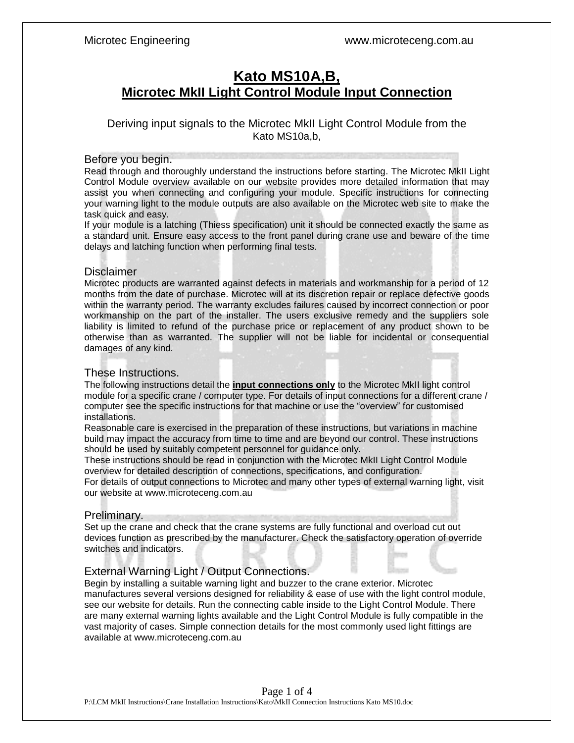# **Kato MS10A,B, Microtec MkII Light Control Module Input Connection**

### Deriving input signals to the Microtec MkII Light Control Module from the Kato MS10a,b,

#### Before you begin.

Read through and thoroughly understand the instructions before starting. The Microtec MkII Light Control Module overview available on our website provides more detailed information that may assist you when connecting and configuring your module. Specific instructions for connecting your warning light to the module outputs are also available on the Microtec web site to make the task quick and easy.

If your module is a latching (Thiess specification) unit it should be connected exactly the same as a standard unit. Ensure easy access to the front panel during crane use and beware of the time delays and latching function when performing final tests.

#### **Disclaimer**

Microtec products are warranted against defects in materials and workmanship for a period of 12 months from the date of purchase. Microtec will at its discretion repair or replace defective goods within the warranty period. The warranty excludes failures caused by incorrect connection or poor workmanship on the part of the installer. The users exclusive remedy and the suppliers sole liability is limited to refund of the purchase price or replacement of any product shown to be otherwise than as warranted. The supplier will not be liable for incidental or consequential damages of any kind.

#### These Instructions.

The following instructions detail the **input connections only** to the Microtec MkII light control module for a specific crane / computer type. For details of input connections for a different crane / computer see the specific instructions for that machine or use the "overview" for customised installations.

Reasonable care is exercised in the preparation of these instructions, but variations in machine build may impact the accuracy from time to time and are beyond our control. These instructions should be used by suitably competent personnel for guidance only.

These instructions should be read in conjunction with the Microtec MkII Light Control Module overview for detailed description of connections, specifications, and configuration.

For details of output connections to Microtec and many other types of external warning light, visit our website at www.microteceng.com.au

#### Preliminary.

Set up the crane and check that the crane systems are fully functional and overload cut out devices function as prescribed by the manufacturer. Check the satisfactory operation of override switches and indicators.

### External Warning Light / Output Connections.

Begin by installing a suitable warning light and buzzer to the crane exterior. Microtec manufactures several versions designed for reliability & ease of use with the light control module, see our website for details. Run the connecting cable inside to the Light Control Module. There are many external warning lights available and the Light Control Module is fully compatible in the vast majority of cases. Simple connection details for the most commonly used light fittings are available at www.microteceng.com.au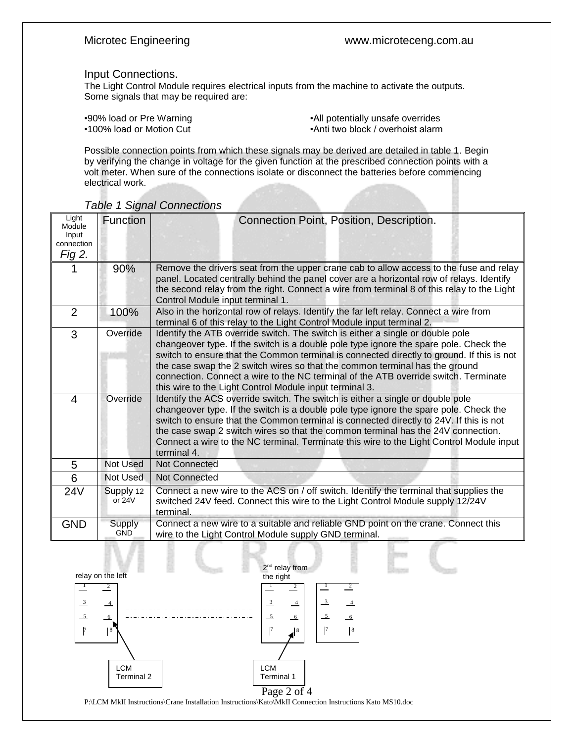#### Input Connections.

The Light Control Module requires electrical inputs from the machine to activate the outputs. Some signals that may be required are:

| .90% load or Pre Warning |  |
|--------------------------|--|
| •100% load or Motion Cut |  |

•All potentially unsafe overrides •Anti two block / overhoist alarm

Possible connection points from which these signals may be derived are detailed in table 1. Begin by verifying the change in voltage for the given function at the prescribed connection points with a volt meter. When sure of the connections isolate or disconnect the batteries before commencing electrical work.

| Light<br>Module<br>Input<br>connection<br>Fig 2. | Function                    | Connection Point, Position, Description.                                                                                                                                                                                                                                                                                                                                                                                                                                                              |
|--------------------------------------------------|-----------------------------|-------------------------------------------------------------------------------------------------------------------------------------------------------------------------------------------------------------------------------------------------------------------------------------------------------------------------------------------------------------------------------------------------------------------------------------------------------------------------------------------------------|
|                                                  | 90%                         | Remove the drivers seat from the upper crane cab to allow access to the fuse and relay<br>panel. Located centrally behind the panel cover are a horizontal row of relays. Identify<br>the second relay from the right. Connect a wire from terminal 8 of this relay to the Light<br>Control Module input terminal 1.                                                                                                                                                                                  |
| $\overline{2}$                                   | 100%                        | Also in the horizontal row of relays. Identify the far left relay. Connect a wire from<br>terminal 6 of this relay to the Light Control Module input terminal 2.                                                                                                                                                                                                                                                                                                                                      |
| 3                                                | Override                    | Identify the ATB override switch. The switch is either a single or double pole<br>changeover type. If the switch is a double pole type ignore the spare pole. Check the<br>switch to ensure that the Common terminal is connected directly to ground. If this is not<br>the case swap the 2 switch wires so that the common terminal has the ground<br>connection. Connect a wire to the NC terminal of the ATB override switch. Terminate<br>this wire to the Light Control Module input terminal 3. |
| 4                                                | Override                    | Identify the ACS override switch. The switch is either a single or double pole<br>changeover type. If the switch is a double pole type ignore the spare pole. Check the<br>switch to ensure that the Common terminal is connected directly to 24V. If this is not<br>the case swap 2 switch wires so that the common terminal has the 24V connection.<br>Connect a wire to the NC terminal. Terminate this wire to the Light Control Module input<br>terminal 4.                                      |
| 5                                                | <b>Not Used</b>             | <b>Not Connected</b>                                                                                                                                                                                                                                                                                                                                                                                                                                                                                  |
| 6                                                | Not Used                    | <b>Not Connected</b>                                                                                                                                                                                                                                                                                                                                                                                                                                                                                  |
| 24V                                              | Supply 12<br>or $24V$       | Connect a new wire to the ACS on / off switch. Identify the terminal that supplies the<br>switched 24V feed. Connect this wire to the Light Control Module supply 12/24V<br>terminal.                                                                                                                                                                                                                                                                                                                 |
| <b>GND</b>                                       | <b>Supply</b><br><b>GND</b> | Connect a new wire to a suitable and reliable GND point on the crane. Connect this<br>wire to the Light Control Module supply GND terminal.                                                                                                                                                                                                                                                                                                                                                           |

#### *Table 1 Signal Connections*



P:\LCM MkII Instructions\Crane Installation Instructions\Kato\MkII Connection Instructions Kato MS10.doc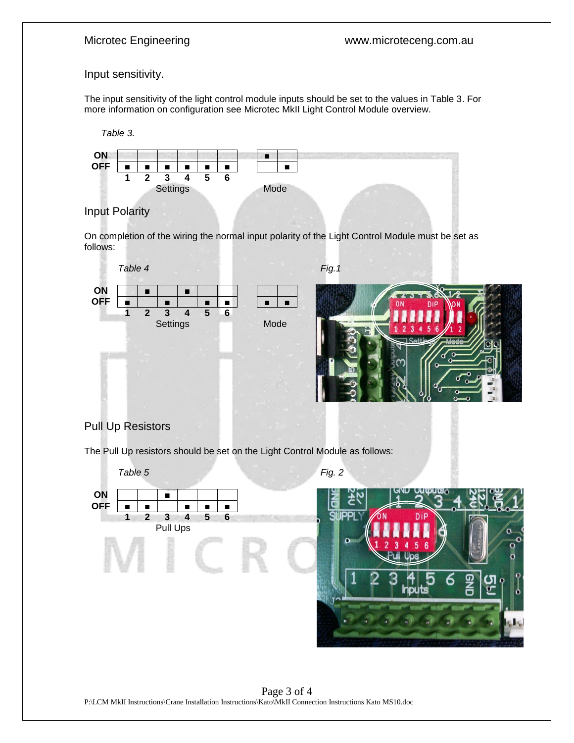### Input sensitivity.

The input sensitivity of the light control module inputs should be set to the values in Table 3. For more information on configuration see Microtec MkII Light Control Module overview.





## Input Polarity

On completion of the wiring the normal input polarity of the Light Control Module must be set as follows:



## Pull Up Resistors

The Pull Up resistors should be set on the Light Control Module as follows: